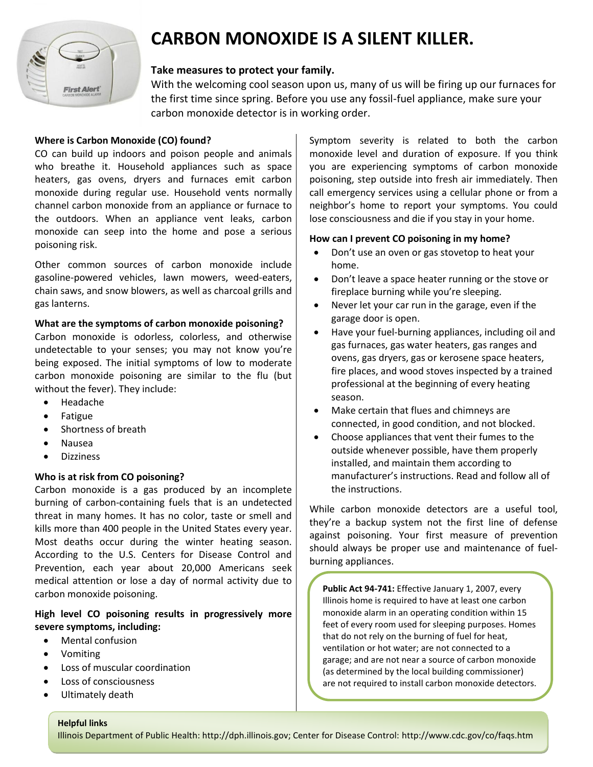

# **CARBON MONOXIDE IS A SILENT KILLER.**

## **Take measures to protect your family.**

With the welcoming cool season upon us, many of us will be firing up our furnaces for the first time since spring. Before you use any fossil-fuel appliance, make sure your carbon monoxide detector is in working order.

## **Where is Carbon Monoxide (CO) found?**

CO can build up indoors and poison people and animals who breathe it. Household appliances such as space heaters, gas ovens, dryers and furnaces emit carbon monoxide during regular use. Household vents normally channel carbon monoxide from an appliance or furnace to the outdoors. When an appliance vent leaks, carbon monoxide can seep into the home and pose a serious poisoning risk.

Other common sources of carbon monoxide include gasoline-powered vehicles, lawn mowers, weed-eaters, chain saws, and snow blowers, as well as charcoal grills and gas lanterns.

#### **What are the symptoms of carbon monoxide poisoning?**

Carbon monoxide is odorless, colorless, and otherwise undetectable to your senses; you may not know you're being exposed. The initial symptoms of low to moderate carbon monoxide poisoning are similar to the flu (but without the fever). They include:

- Headache
- Fatigue
- Shortness of breath
- Nausea
- Dizziness

# **Who is at risk from CO poisoning?**

Carbon monoxide is a gas produced by an incomplete burning of carbon-containing fuels that is an undetected threat in many homes. It has no color, taste or smell and kills more than 400 people in the United States every year. Most deaths occur during the winter heating season. According to the U.S. Centers for Disease Control and Prevention, each year about 20,000 Americans seek medical attention or lose a day of normal activity due to carbon monoxide poisoning.

## **High level CO poisoning results in progressively more severe symptoms, including:**

- Mental confusion
- Vomiting
- Loss of muscular coordination
- Loss of consciousness
- Ultimately death

Symptom severity is related to both the carbon monoxide level and duration of exposure. If you think you are experiencing symptoms of carbon monoxide poisoning, step outside into fresh air immediately. Then call emergency services using a cellular phone or from a neighbor's home to report your symptoms. You could lose consciousness and die if you stay in your home.

#### **How can I prevent CO poisoning in my home?**

- Don't use an oven or gas stovetop to heat your home.
- Don't leave a space heater running or the stove or fireplace burning while you're sleeping.
- Never let your car run in the garage, even if the garage door is open.
- Have your fuel-burning appliances, including oil and gas furnaces, gas water heaters, gas ranges and ovens, gas dryers, gas or kerosene space heaters, fire places, and wood stoves inspected by a trained professional at the beginning of every heating season.
- Make certain that flues and chimneys are connected, in good condition, and not blocked.
- Choose appliances that vent their fumes to the outside whenever possible, have them properly installed, and maintain them according to manufacturer's instructions. Read and follow all of the instructions.

While carbon monoxide detectors are a useful tool, they're a backup system not the first line of defense against poisoning. Your first measure of prevention should always be proper use and maintenance of fuelburning appliances.

**Public Act 94-741:** Effective January 1, 2007, every Illinois home is required to have at least one carbon monoxide alarm in an operating condition within 15 feet of every room used for sleeping purposes. Homes that do not rely on the burning of fuel for heat, ventilation or hot water; are not connected to a garage; and are not near a source of carbon monoxide (as determined by the local building commissioner) are not required to install carbon monoxide detectors.

#### **Helpful links**

Illinois Department of Public Health: http://dph.illinois.gov; Center for Disease Control:<http://www.cdc.gov/co/faqs.htm>